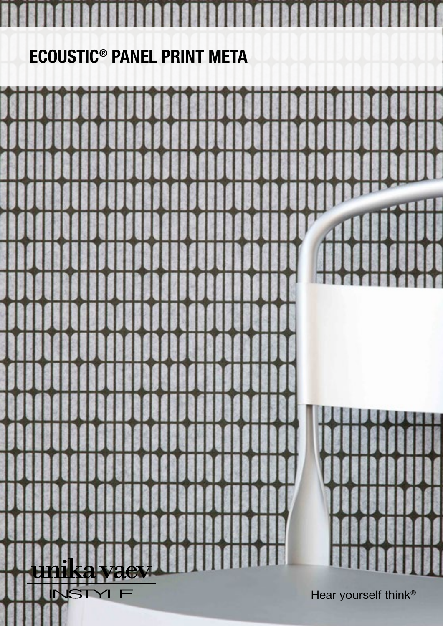## ECOUSTIC® PANEL PRINT META

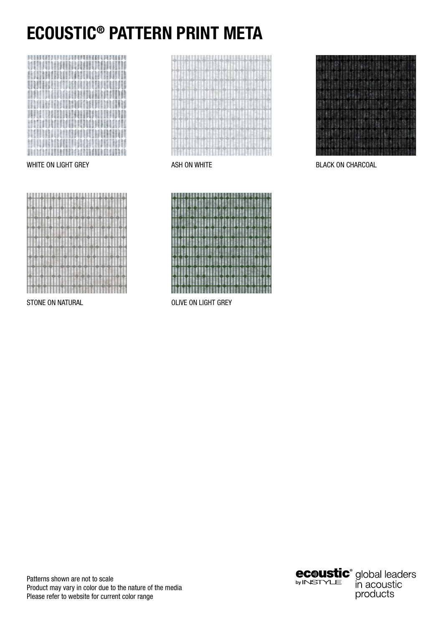# ECOUSTIC® PATTERN PRINT META









STONE ON NATURAL **CONNECTION CONNECTIVE ON LIGHT GREY** 



WHITE ON LIGHT GREY ASH ON WHITE ASH ON WHITE BLACK ON CHARCOAL

Patterns shown are not to scale Product may vary in color due to the nature of the media Please refer to website for current color range